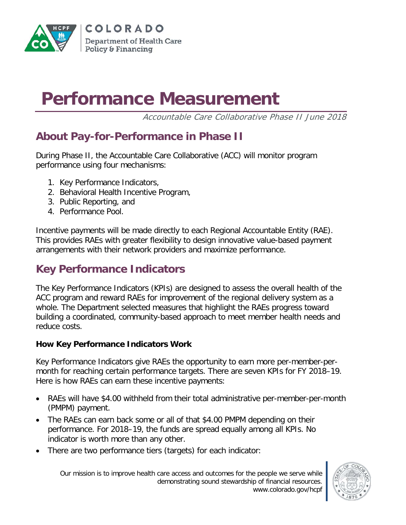

# **Performance Measurement**

Accountable Care Collaborative Phase II June 2018

## **About Pay-for-Performance in Phase II**

During Phase II, the Accountable Care Collaborative (ACC) will monitor program performance using four mechanisms:

- 1. Key Performance Indicators,
- 2. Behavioral Health Incentive Program,
- 3. Public Reporting, and
- 4. Performance Pool.

Incentive payments will be made directly to each Regional Accountable Entity (RAE). This provides RAEs with greater flexibility to design innovative value-based payment arrangements with their network providers and maximize performance.

# **Key Performance Indicators**

The Key Performance Indicators (KPIs) are designed to assess the overall health of the ACC program and reward RAEs for improvement of the regional delivery system as a whole. The Department selected measures that highlight the RAEs progress toward building a coordinated, community-based approach to meet member health needs and reduce costs.

#### **How Key Performance Indicators Work**

Key Performance Indicators give RAEs the opportunity to earn more per-member-permonth for reaching certain performance targets. There are seven KPIs for FY 2018–19. Here is how RAEs can earn these incentive payments:

- RAEs will have \$4.00 withheld from their total administrative per-member-per-month (PMPM) payment.
- The RAEs can earn back some or all of that \$4.00 PMPM depending on their performance. For 2018–19, the funds are spread equally among all KPIs. No indicator is worth more than any other.
- There are two performance tiers (targets) for each indicator:

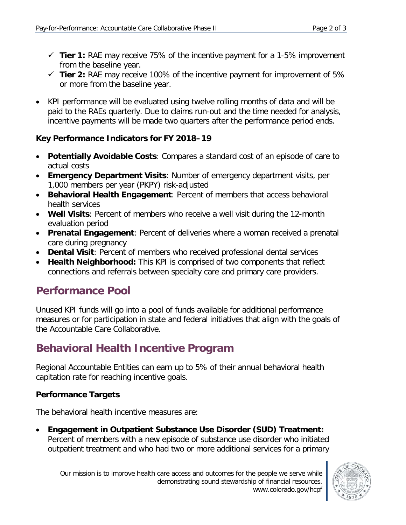- **Tier 1:** RAE may receive 75% of the incentive payment for a 1-5% improvement from the baseline year.
- **Tier 2:** RAE may receive 100% of the incentive payment for improvement of 5% or more from the baseline year.
- KPI performance will be evaluated using twelve rolling months of data and will be paid to the RAEs quarterly. Due to claims run-out and the time needed for analysis, incentive payments will be made two quarters after the performance period ends.

#### **Key Performance Indicators for FY 2018–19**

- **Potentially Avoidable Costs**: Compares a standard cost of an episode of care to actual costs
- **Emergency Department Visits**: Number of emergency department visits, per 1,000 members per year (PKPY) risk-adjusted
- **Behavioral Health Engagement**: Percent of members that access behavioral health services
- **Well Visits**: Percent of members who receive a well visit during the 12-month evaluation period
- **Prenatal Engagement**: Percent of deliveries where a woman received a prenatal care during pregnancy
- **Dental Visit**: Percent of members who received professional dental services
- **Health Neighborhood:** This KPI is comprised of two components that reflect connections and referrals between specialty care and primary care providers.

## **Performance Pool**

Unused KPI funds will go into a pool of funds available for additional performance measures or for participation in state and federal initiatives that align with the goals of the Accountable Care Collaborative.

# **Behavioral Health Incentive Program**

Regional Accountable Entities can earn up to 5% of their annual behavioral health capitation rate for reaching incentive goals.

#### **Performance Targets**

The behavioral health incentive measures are:

• **Engagement in Outpatient Substance Use Disorder (SUD) Treatment:** Percent of members with a new episode of substance use disorder who initiated outpatient treatment and who had two or more additional services for a primary